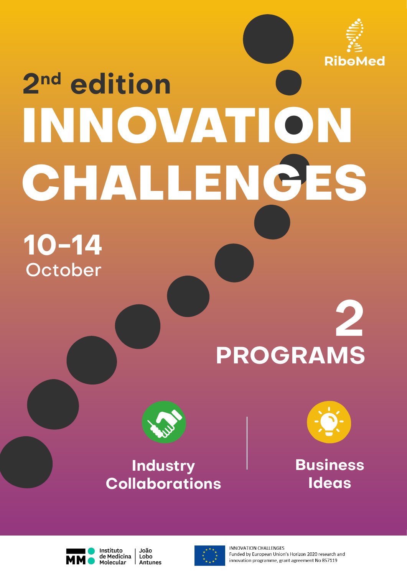

# **2nd edition INNOVATION CHALLENGES**

# **10-14 October**

# **2 PROGRAMS**



### **Industry Collaborations**



**Business Ideas**



Instituto João de Medicina Lobo Molecular **Antunes** 



**INNOVATION CHALLENGES** Funded by European Union's Horizon 2020 research and innovation programme, grant agreement No 857119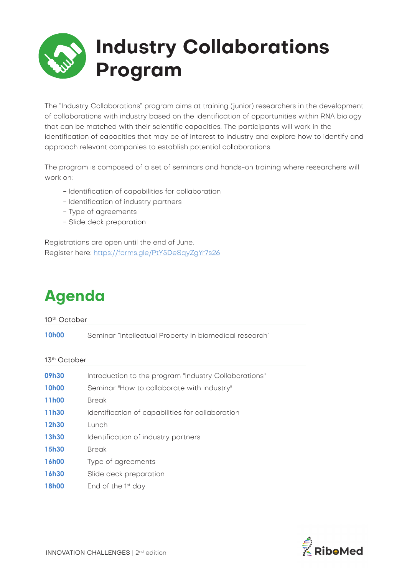## **Industry Collaborations Program**

The "Industry Collaborations" program aims at training (junior) researchers in the development of collaborations with industry based on the identification of opportunities within RNA biology that can be matched with their scientific capacities. The participants will work in the identification of capacities that may be of interest to industry and explore how to identify and approach relevant companies to establish potential collaborations.

The program is composed of a set of seminars and hands-on training where researchers will work on:

- Identification of capabilities for collaboration
- Identification of industry partners
- Type of agreements
- Slide deck preparation

Registrations are open until the end of June. Register here: https://forms.gle/PtY5DeSqyZgYr7s26

### **Agenda**

10th October

**10h00** Seminar "Intellectual Property in biomedical research"

#### 13th October

| 09h30        | Introduction to the program "Industry Collaborations" |
|--------------|-------------------------------------------------------|
| <b>10h00</b> | Seminar "How to collaborate with industry"            |
| 11h00        | <b>Break</b>                                          |
| 11h30        | Identification of capabilities for collaboration      |
| 12h30        | Lunch                                                 |
| 13h30        | Identification of industry partners                   |
| 15h30        | <b>Break</b>                                          |
| <b>16h00</b> | Type of agreements                                    |
| 16h30        | Slide deck preparation                                |
| <b>18h00</b> | End of the $1st$ day                                  |
|              |                                                       |

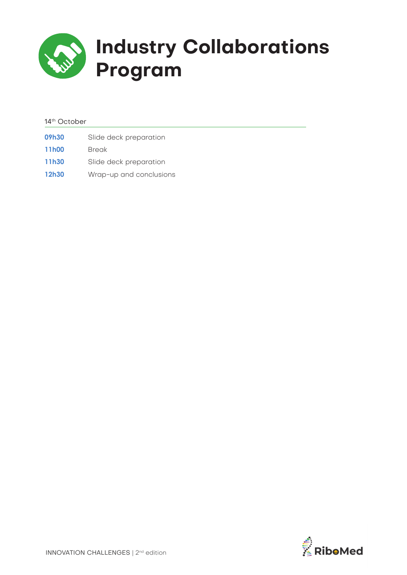

### **Industry Collaborations Program**

#### 14th October

| 09h30              | Slide deck preparation  |
|--------------------|-------------------------|
| 11 <sub>h</sub> 00 | <b>Break</b>            |
| 11h30              | Slide deck preparation  |
| 12h30              | Wrap-up and conclusions |

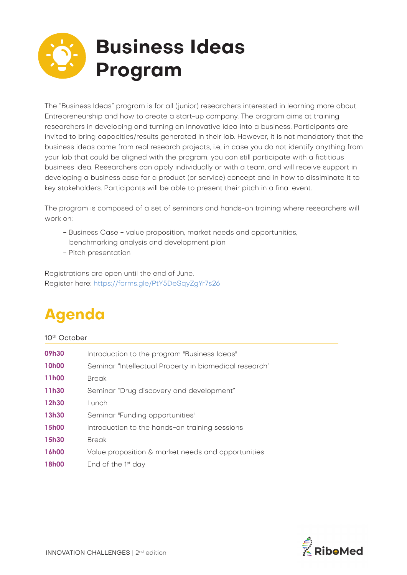## **Business Ideas Program**

The "Business Ideas" program is for all (junior) researchers interested in learning more about Entrepreneurship and how to create a start-up company. The program aims at training researchers in developing and turning an innovative idea into a business. Participants are invited to bring capacities/results generated in their lab. However, it is not mandatory that the business ideas come from real research projects, i.e, in case you do not identify anything from your lab that could be aligned with the program, you can still participate with a fictitious business idea. Researchers can apply individually or with a team, and will receive support in developing a business case for a product (or service) concept and in how to dissiminate it to key stakeholders. Participants will be able to present their pitch in a final event.

The program is composed of a set of seminars and hands-on training where researchers will work on:

- Business Case value proposition, market needs and opportunities,
- benchmarking analysis and development plan
- Pitch presentation

Registrations are open until the end of June. Register here: https://forms.gle/PtY5DeSqyZgYr7s26

### **Agenda**

#### 10th October

| 09h30        | Introduction to the program "Business Ideas"           |
|--------------|--------------------------------------------------------|
| <b>10h00</b> | Seminar "Intellectual Property in biomedical research" |
| 11h00        | <b>Break</b>                                           |
| 11h30        | Seminar "Drug discovery and development"               |
| 12h30        | Lunch                                                  |
| 13h30        | Seminar "Funding opportunities"                        |
| 15h00        | Introduction to the hands-on training sessions         |
| 15h30        | <b>Break</b>                                           |
| 16h00        | Value proposition & market needs and opportunities     |
| <b>18h00</b> | End of the $1st$ day                                   |